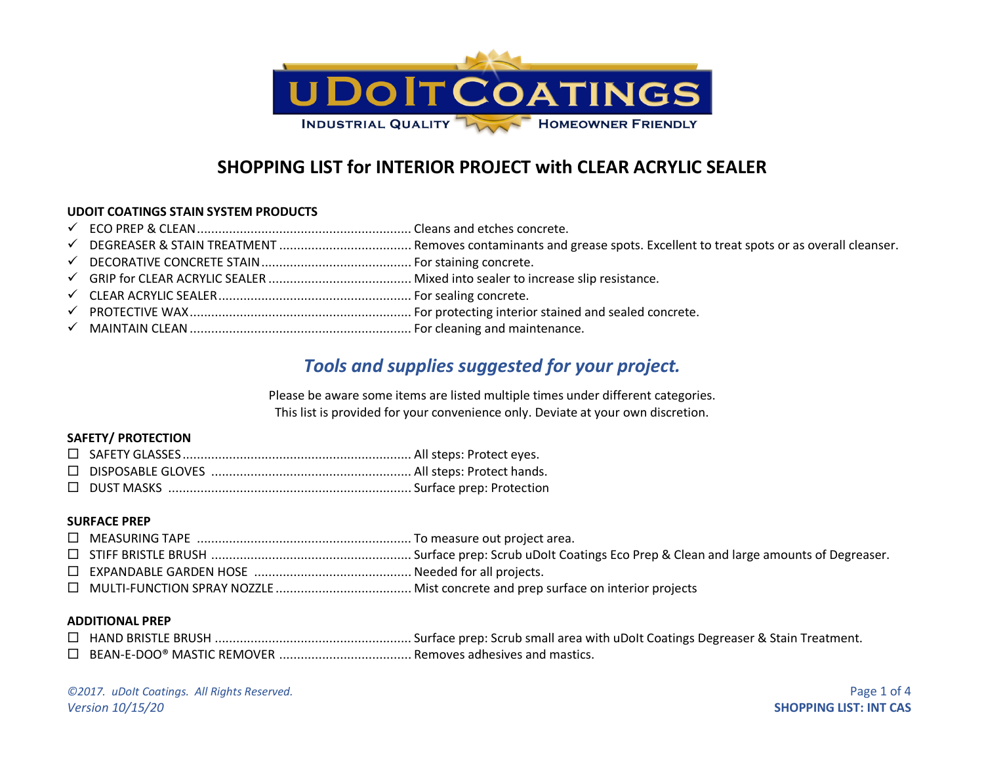

# **SHOPPING LIST for INTERIOR PROJECT with CLEAR ACRYLIC SEALER**

### **UDOIT COATINGS STAIN SYSTEM PRODUCTS**

- ✓ ECO PREP & CLEAN............................................................ Cleans and etches concrete.
- ✓ DEGREASER & STAIN TREATMENT ..................................... Removes contaminants and grease spots. Excellent to treat spots or as overall cleanser.
- ✓ DECORATIVE CONCRETE STAIN.......................................... For staining concrete.
- ✓ GRIP for CLEAR ACRYLIC SEALER ........................................ Mixed into sealer to increase slip resistance.
- ✓ CLEAR ACRYLIC SEALER...................................................... For sealing concrete.
- ✓ PROTECTIVE WAX.............................................................. For protecting interior stained and sealed concrete.
- ✓ MAINTAIN CLEAN.............................................................. For cleaning and maintenance.

## *Tools and supplies suggested for your project.*

Please be aware some items are listed multiple times under different categories. This list is provided for your convenience only. Deviate at your own discretion.

### **SAFETY/ PROTECTION**

#### **SURFACE PREP**

#### **ADDITIONAL PREP**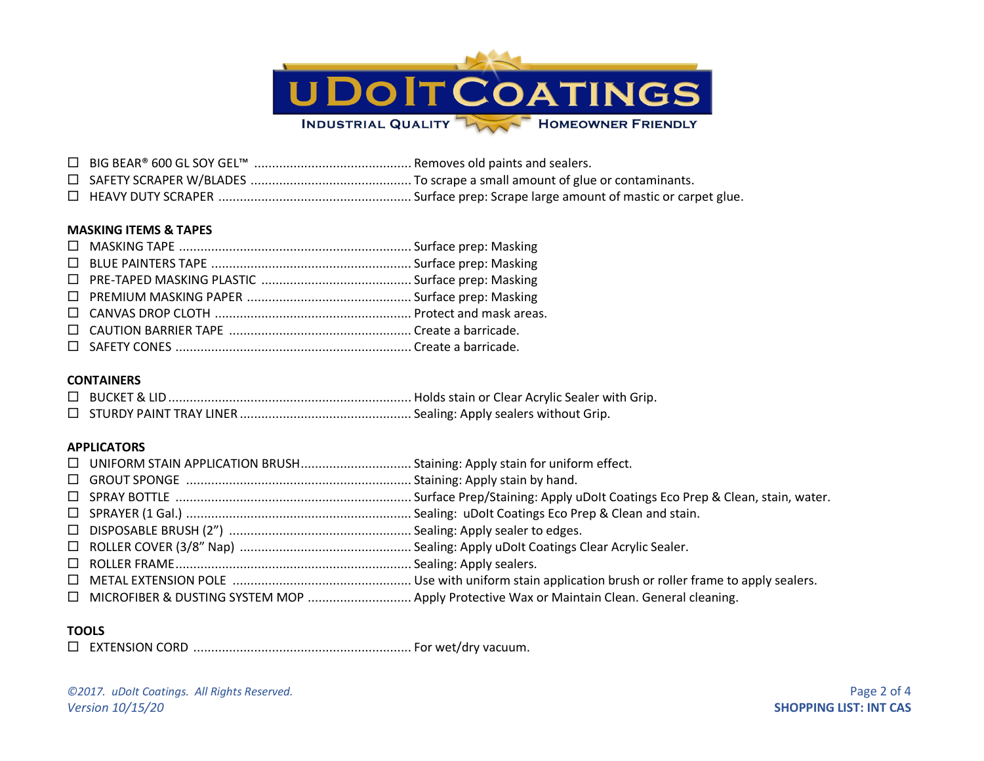

 BIG BEAR® 600 GL SOY GEL™ ............................................ Removes old paints and sealers. SAFETY SCRAPER W/BLADES ............................................. To scrape a small amount of glue or contaminants. HEAVY DUTY SCRAPER ...................................................... Surface prep: Scrape large amount of mastic or carpet glue.

#### **MASKING ITEMS & TAPES**

#### **CONTAINERS**

### **APPLICATORS**

## **TOOLS**

EXTENSION CORD ............................................................. For wet/dry vacuum.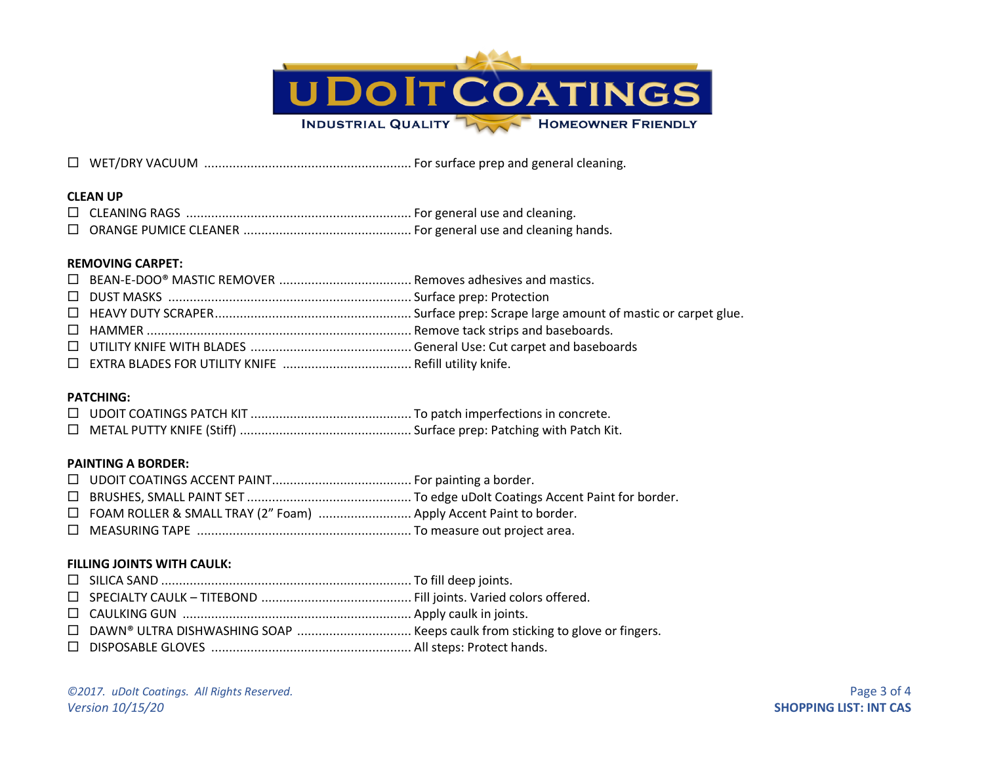

#### **CLEAN UP**

#### **REMOVING CARPET:**

### **PATCHING:**

### **PAINTING A BORDER:**

| □ FOAM ROLLER & SMALL TRAY (2" Foam)  Apply Accent Paint to border. |  |
|---------------------------------------------------------------------|--|
|                                                                     |  |

### **FILLING JOINTS WITH CAULK:**